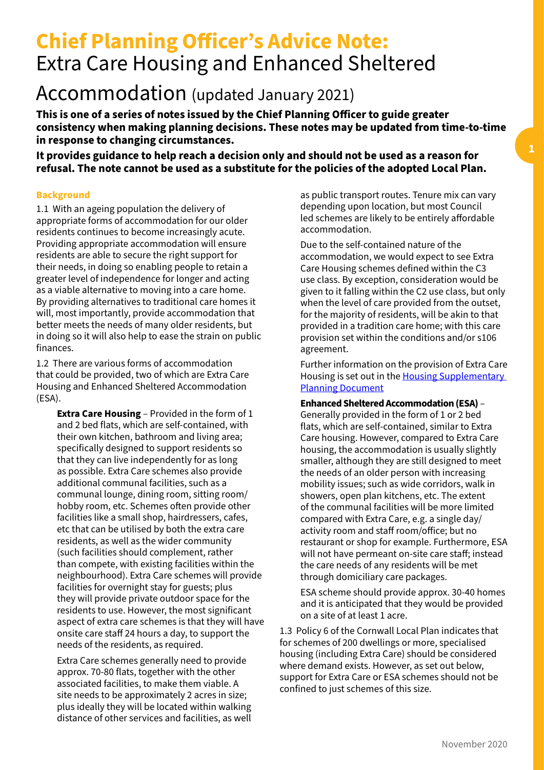# **Chief Planning Officer's Advice Note:** Extra Care Housing and Enhanced Sheltered

## Accommodation (updated January 2021)

**This is one of a series of notes issued by the Chief Planning Officer to guide greater consistency when making planning decisions. These notes may be updated from time-to-time in response to changing circumstances.** 

**It provides guidance to help reach a decision only and should not be used as a reason for refusal. The note cannot be used as a substitute for the policies of the adopted Local Plan.**

### **Background**

1.1 With an ageing population the delivery of appropriate forms of accommodation for our older residents continues to become increasingly acute. Providing appropriate accommodation will ensure residents are able to secure the right support for their needs, in doing so enabling people to retain a greater level of independence for longer and acting as a viable alternative to moving into a care home. By providing alternatives to traditional care homes it will, most importantly, provide accommodation that better meets the needs of many older residents, but in doing so it will also help to ease the strain on public finances.

1.2 There are various forms of accommodation that could be provided, two of which are Extra Care Housing and Enhanced Sheltered Accommodation (ESA).

**Extra Care Housing** – Provided in the form of 1 and 2 bed flats, which are self-contained, with their own kitchen, bathroom and living area; specifically designed to support residents so that they can live independently for as long as possible. Extra Care schemes also provide additional communal facilities, such as a communal lounge, dining room, sitting room/ hobby room, etc. Schemes often provide other facilities like a small shop, hairdressers, cafes, etc that can be utilised by both the extra care residents, as well as the wider community (such facilities should complement, rather than compete, with existing facilities within the neighbourhood). Extra Care schemes will provide facilities for overnight stay for guests; plus they will provide private outdoor space for the residents to use. However, the most significant aspect of extra care schemes is that they will have onsite care staff 24 hours a day, to support the needs of the residents, as required.

Extra Care schemes generally need to provide approx. 70-80 flats, together with the other associated facilities, to make them viable. A site needs to be approximately 2 acres in size; plus ideally they will be located within walking distance of other services and facilities, as well

as public transport routes. Tenure mix can vary depending upon location, but most Council led schemes are likely to be entirely affordable accommodation.

Due to the self-contained nature of the accommodation, we would expect to see Extra Care Housing schemes defined within the C3 use class. By exception, consideration would be given to it falling within the C2 use class, but only when the level of care provided from the outset, for the majority of residents, will be akin to that provided in a tradition care home; with this care provision set within the conditions and/or s106 agreement.

Further information on the provision of Extra Care Housing is set out in the **Housing Supplementary** [Planning Document](https://indd.adobe.com/view/d6991b3d-474f-4b3a-953a-77b4d812c222)

**Enhanced Sheltered Accommodation (ESA)** – Generally provided in the form of 1 or 2 bed flats, which are self-contained, similar to Extra Care housing. However, compared to Extra Care housing, the accommodation is usually slightly smaller, although they are still designed to meet the needs of an older person with increasing mobility issues; such as wide corridors, walk in showers, open plan kitchens, etc. The extent of the communal facilities will be more limited compared with Extra Care, e.g. a single day/ activity room and staff room/office; but no restaurant or shop for example. Furthermore, ESA will not have permeant on-site care staff; instead the care needs of any residents will be met through domiciliary care packages.

ESA scheme should provide approx. 30-40 homes and it is anticipated that they would be provided on a site of at least 1 acre.

1.3 Policy 6 of the Cornwall Local Plan indicates that for schemes of 200 dwellings or more, specialised housing (including Extra Care) should be considered where demand exists. However, as set out below, support for Extra Care or ESA schemes should not be confined to just schemes of this size.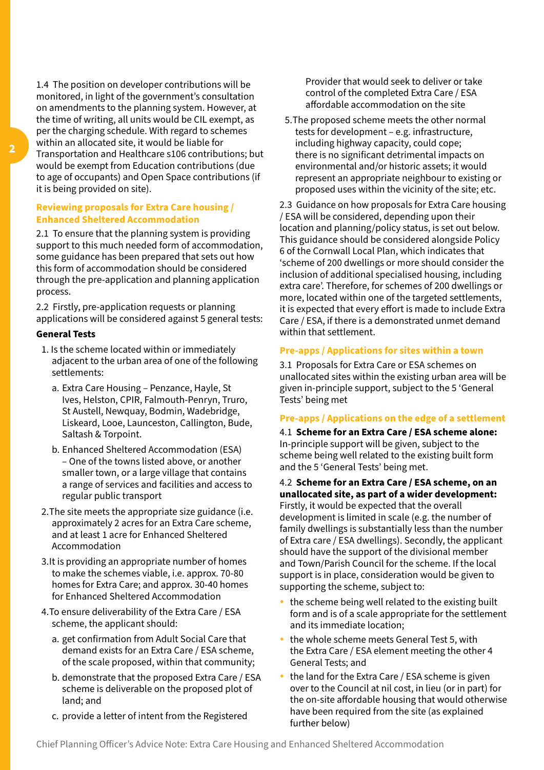1.4 The position on developer contributions will be monitored, in light of the government's consultation on amendments to the planning system. However, at the time of writing, all units would be CIL exempt, as per the charging schedule. With regard to schemes within an allocated site, it would be liable for Transportation and Healthcare s106 contributions; but would be exempt from Education contributions (due to age of occupants) and Open Space contributions (if it is being provided on site).

#### **Reviewing proposals for Extra Care housing / Enhanced Sheltered Accommodation**

2.1 To ensure that the planning system is providing support to this much needed form of accommodation, some guidance has been prepared that sets out how this form of accommodation should be considered through the pre-application and planning application process.

2.2 Firstly, pre-application requests or planning applications will be considered against 5 general tests:

#### **General Tests**

- 1. Is the scheme located within or immediately adjacent to the urban area of one of the following settlements:
	- a. Extra Care Housing Penzance, Hayle, St Ives, Helston, CPIR, Falmouth-Penryn, Truro, St Austell, Newquay, Bodmin, Wadebridge, Liskeard, Looe, Launceston, Callington, Bude, Saltash & Torpoint.
	- b. Enhanced Sheltered Accommodation (ESA) – One of the towns listed above, or another smaller town, or a large village that contains a range of services and facilities and access to regular public transport
- 2.The site meets the appropriate size guidance (i.e. approximately 2 acres for an Extra Care scheme, and at least 1 acre for Enhanced Sheltered Accommodation
- 3.It is providing an appropriate number of homes to make the schemes viable, i.e. approx. 70-80 homes for Extra Care; and approx. 30-40 homes for Enhanced Sheltered Accommodation
- 4.To ensure deliverability of the Extra Care / ESA scheme, the applicant should:
	- a. get confirmation from Adult Social Care that demand exists for an Extra Care / ESA scheme, of the scale proposed, within that community;
	- b. demonstrate that the proposed Extra Care / ESA scheme is deliverable on the proposed plot of land; and
	- c. provide a letter of intent from the Registered

Provider that would seek to deliver or take control of the completed Extra Care / ESA affordable accommodation on the site

5.The proposed scheme meets the other normal tests for development – e.g. infrastructure, including highway capacity, could cope; there is no significant detrimental impacts on environmental and/or historic assets; it would represent an appropriate neighbour to existing or proposed uses within the vicinity of the site; etc.

2.3 Guidance on how proposals for Extra Care housing / ESA will be considered, depending upon their location and planning/policy status, is set out below. This guidance should be considered alongside Policy 6 of the Cornwall Local Plan, which indicates that 'scheme of 200 dwellings or more should consider the inclusion of additional specialised housing, including extra care'. Therefore, for schemes of 200 dwellings or more, located within one of the targeted settlements, it is expected that every effort is made to include Extra Care / ESA, if there is a demonstrated unmet demand within that settlement.

#### **Pre-apps / Applications for sites within a town**

3.1 Proposals for Extra Care or ESA schemes on unallocated sites within the existing urban area will be given in-principle support, subject to the 5 'General Tests' being met

#### **Pre-apps / Applications on the edge of a settlement**

4.1 **Scheme for an Extra Care / ESA scheme alone:** In-principle support will be given, subject to the scheme being well related to the existing built form and the 5 'General Tests' being met.

4.2 **Scheme for an Extra Care / ESA scheme, on an unallocated site, as part of a wider development:**  Firstly, it would be expected that the overall development is limited in scale (e.g. the number of family dwellings is substantially less than the number of Extra care / ESA dwellings). Secondly, the applicant should have the support of the divisional member and Town/Parish Council for the scheme. If the local support is in place, consideration would be given to supporting the scheme, subject to:

- $\cdot$  the scheme being well related to the existing built form and is of a scale appropriate for the settlement and its immediate location;
- $\cdot$  the whole scheme meets General Test 5, with the Extra Care / ESA element meeting the other 4 General Tests; and
- the land for the Extra Care / ESA scheme is given over to the Council at nil cost, in lieu (or in part) for the on-site affordable housing that would otherwise have been required from the site (as explained further below)